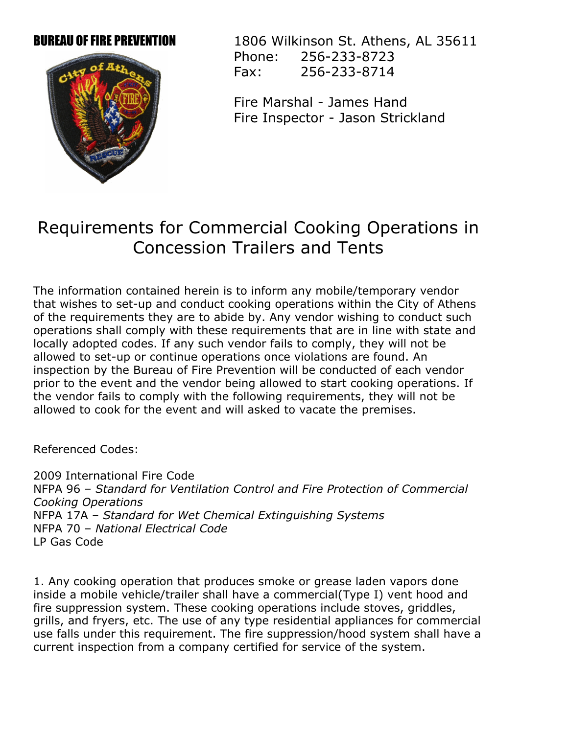

**BUREAU OF FIRE PREVENTION** 1806 Wilkinson St. Athens, AL 35611 Phone: 256-233-8723 Fax: 256-233-8714

> Fire Marshal James Hand Fire Inspector - Jason Strickland

## Requirements for Commercial Cooking Operations in Concession Trailers and Tents

The information contained herein is to inform any mobile/temporary vendor that wishes to set-up and conduct cooking operations within the City of Athens of the requirements they are to abide by. Any vendor wishing to conduct such operations shall comply with these requirements that are in line with state and locally adopted codes. If any such vendor fails to comply, they will not be allowed to set-up or continue operations once violations are found. An inspection by the Bureau of Fire Prevention will be conducted of each vendor prior to the event and the vendor being allowed to start cooking operations. If the vendor fails to comply with the following requirements, they will not be allowed to cook for the event and will asked to vacate the premises.

Referenced Codes:

2009 International Fire Code NFPA 96 – *Standard for Ventilation Control and Fire Protection of Commercial Cooking Operations* NFPA 17A – *Standard for Wet Chemical Extinguishing Systems* NFPA 70 – *National Electrical Code* LP Gas Code

1. Any cooking operation that produces smoke or grease laden vapors done inside a mobile vehicle/trailer shall have a commercial(Type I) vent hood and fire suppression system. These cooking operations include stoves, griddles, grills, and fryers, etc. The use of any type residential appliances for commercial use falls under this requirement. The fire suppression/hood system shall have a current inspection from a company certified for service of the system.